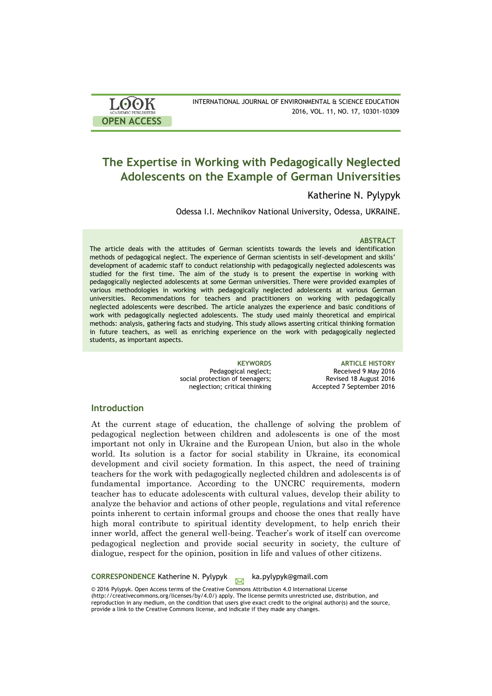| <b>LOOK</b>                | INTERNATIONAL JOURNAL OF ENVIRONMENTAL & SCIENCE EDUCATION |
|----------------------------|------------------------------------------------------------|
| <b>ACADEMIC PUBLISHERS</b> | 2016, VOL. 11, NO. 17, 10301-10309                         |
| <b>OPEN ACCESS</b>         |                                                            |

# **The Expertise in Working with Pedagogically Neglected Adolescents on the Example of German Universities**

## Katherine N. Pylypyk

Odessa I.I. Mechnikov National University, Odessa, UKRAINE.

### **ABSTRACT**

The article deals with the attitudes of German scientists towards the levels and identification methods of pedagogical neglect. The experience of German scientists in self-development and skills' development of academic staff to conduct relationship with pedagogically neglected adolescents was studied for the first time. The aim of the study is to present the expertise in working with pedagogically neglected adolescents at some German universities. There were provided examples of various methodologies in working with pedagogically neglected adolescents at various German universities. Recommendations for teachers and practitioners on working with pedagogically neglected adolescents were described. The article analyzes the experience and basic conditions of work with pedagogically neglected adolescents. The study used mainly theoretical and empirical methods: analysis, gathering facts and studying. This study allows asserting critical thinking formation in future teachers, as well as enriching experience on the work with pedagogically neglected students, as important aspects.

> Pedagogical neglect; social protection of teenagers; neglection; critical thinking

**KEYWORDS ARTICLE HISTORY** Received 9 May 2016 Revised 18 August 2016 Accepted 7 September 2016

### **Introduction**

At the current stage of education, the challenge of solving the problem of pedagogical neglection between children and adolescents is one of the most important not only in Ukraine and the European Union, but also in the whole world. Its solution is a factor for social stability in Ukraine, its economical development and civil society formation. In this aspect, the need of training teachers for the work with pedagogically neglected children and adolescents is of fundamental importance. According to the UNCRC requirements, modern teacher has to educate adolescents with cultural values, develop their ability to analyze the behavior and actions of other people, regulations and vital reference points inherent to certain informal groups and choose the ones that really have high moral contribute to spiritual identity development, to help enrich their inner world, affect the general well-being. Teacher's work of itself can overcome pedagogical neglection and provide social security in society, the culture of dialogue, respect for the opinion, position in life and values of other citizens.

**CORRESPONDENCE Katherine N. Pylypyk ka.pylypyk@gmail.com** 

© 2016 Pylypyk. Open Access terms of the Creative Commons Attribution 4.0 International License (http://creativecommons.org/licenses/by/4.0/) apply. The license permits unrestricted use, distribution, and reproduction in any medium, on the condition that users give exact credit to the original author(s) and the source, provide a link to the Creative Commons license, and indicate if they made any changes.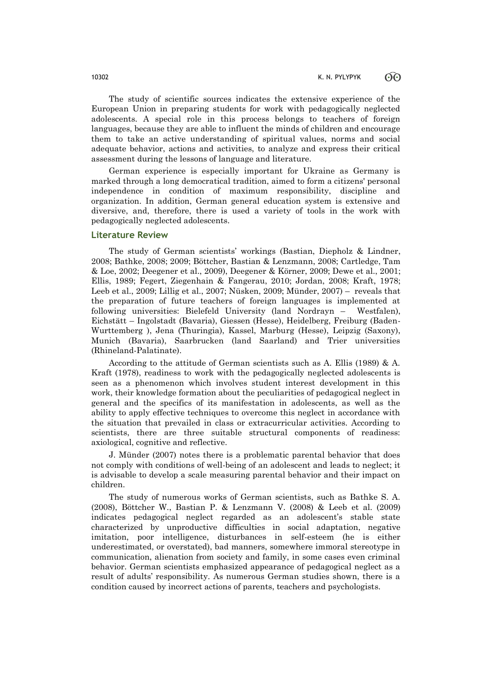The study of scientific sources indicates the extensive experience of the European Union in preparing students for work with pedagogically neglected adolescents. A special role in this process belongs to teachers of foreign languages, because they are able to influent the minds of children and encourage them to take an active understanding of spiritual values, norms and social adequate behavior, actions and activities, to analyze and express their critical assessment during the lessons of language and literature.

German experience is especially important for Ukraine as Germany is marked through a long democratical tradition, aimed to form a citizens' personal independence in condition of maximum responsibility, discipline and organization. In addition, German general education system is extensive and diversive, and, therefore, there is used a variety of tools in the work with pedagogically neglected adolescents.

#### **Literature Review**

The study of German scientists' workings (Bastian, Diepholz & Lindner, 2008; Bathke, 2008; 2009; Böttcher, Bastian & Lenzmann, 2008; Cartledge, Tam & Loe, 2002; Deegener et al., 2009), Deegener & Körner, 2009; Dewe et al., 2001; Ellis, 1989; Fegert, Ziegenhain & Fangerau, 2010; Jordan, 2008; Kraft, 1978; Leeb et al., 2009; Lillig et al., 2007; Nüsken, 2009; Münder, 2007) – reveals that the preparation of future teachers of foreign languages is implemented at following universities: Bielefeld University (land Nordrayn – Westfalen), Eichstätt – Ingolstadt (Bavaria), Giessen (Hesse), Heidelberg, Freiburg (Baden-Wurttemberg ), Jena (Thuringia), Kassel, Marburg (Hesse), Leipzig (Saxony), Munich (Bavaria), Saarbrucken (land Saarland) and Trier universities (Rhineland-Palatinate).

According to the attitude of German scientists such as A. Ellis (1989) & A. Kraft (1978), readiness to work with the pedagogically neglected adolescents is seen as a phenomenon which involves student interest development in this work, their knowledge formation about the peculiarities of pedagogical neglect in general and the specifics of its manifestation in adolescents, as well as the ability to apply effective techniques to overcome this neglect in accordance with the situation that prevailed in class or extracurricular activities. According to scientists, there are three suitable structural components of readiness: axiological, cognitive and reflective.

J. Münder (2007) notes there is a problematic parental behavior that does not comply with conditions of well-being of an adolescent and leads to neglect; it is advisable to develop a scale measuring parental behavior and their impact on children.

The study of numerous works of German scientists, such as Bathke S. A. (2008), Böttcher W., Bastian P. & Lenzmann V. (2008) & Leeb et al. (2009) indicates pedagogical neglect regarded as an adolescent's stable state characterized by unproductive difficulties in social adaptation, negative imitation, poor intelligence, disturbances in self-esteem (he is either underestimated, or overstated), bad manners, somewhere immoral stereotype in communication, alienation from society and family, in some cases even criminal behavior. German scientists emphasized appearance of pedagogical neglect as a result of adults' responsibility. As numerous German studies shown, there is a condition caused by incorrect actions of parents, teachers and psychologists.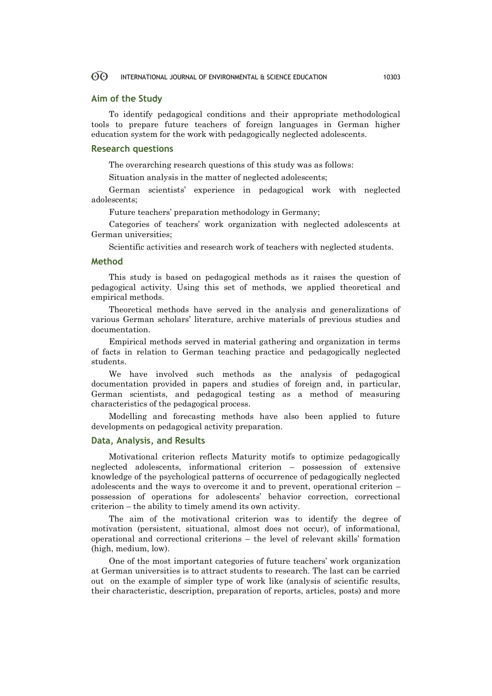#### $\odot$ INTERNATIONAL JOURNAL OF ENVIRONMENTAL & SCIENCE EDUCATION 10303

#### **Aim of the Study**

To identify pedagogical conditions and their appropriate methodological tools to prepare future teachers of foreign languages in German higher education system for the work with pedagogically neglected adolescents.

#### **Research questions**

The overarching research questions of this study was as follows:

Situation analysis in the matter of neglected adolescents;

German scientists' experience in pedagogical work with neglected adolescents;

Future teachers' preparation methodology in Germany;

Categories of teachers' work organization with neglected adolescents at German universities;

Scientific activities and research work of teachers with neglected students.

#### **Method**

This study is based on pedagogical methods as it raises the question of pedagogical activity. Using this set of methods, we applied theoretical and empirical methods.

Theoretical methods have served in the analysis and generalizations of various German scholars' literature, archive materials of previous studies and documentation.

Empirical methods served in material gathering and organization in terms of facts in relation to German teaching practice and pedagogically neglected students.

We have involved such methods as the analysis of pedagogical documentation provided in papers and studies of foreign and, in particular, German scientists, and pedagogical testing as a method of measuring characteristics of the pedagogical process.

Modelling and forecasting methods have also been applied to future developments on pedagogical activity preparation.

### **Data, Analysis, and Results**

Motivational criterion reflects Maturity motifs to optimize pedagogically neglected adolescents, informational criterion – possession of extensive knowledge of the psychological patterns of occurrence of pedagogically neglected adolescents and the ways to overcome it and to prevent, operational criterion – possession of operations for adolescents' behavior correction, correctional criterion – the ability to timely amend its own activity.

The aim of the motivational criterion was to identify the degree of motivation (persistent, situational, almost does not occur), of informational, operational and correctional criterions – the level of relevant skills' formation (high, medium, low).

One of the most important categories of future teachers' work organization at German universities is to attract students to research. The last can be carried out on the example of simpler type of work like (analysis of scientific results, their characteristic, description, preparation of reports, articles, posts) and more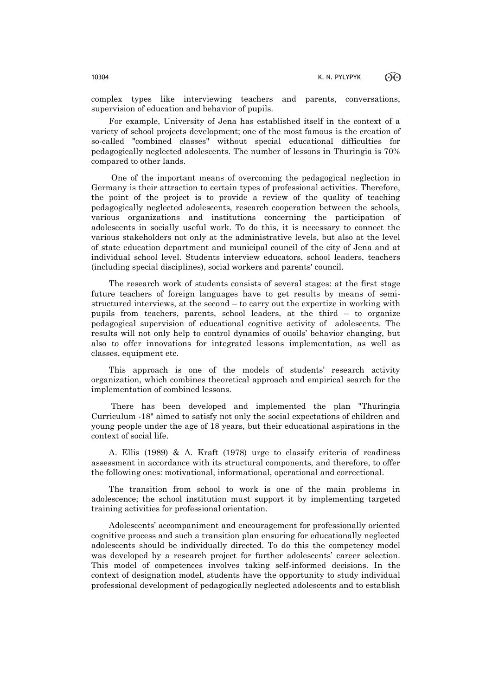complex types like interviewing teachers and parents, conversations, supervision of education and behavior of pupils.

For example, University of Jena has established itself in the context of a variety of school projects development; one of the most famous is the creation of so-called "combined classes" without special educational difficulties for pedagogically neglected adolescents. The number of lessons in Thuringia is 70% compared to other lands.

One of the important means of overcoming the pedagogical neglection in Germany is their attraction to certain types of professional activities. Therefore, the point of the project is to provide a review of the quality of teaching pedagogically neglected adolescents, research cooperation between the schools, various organizations and institutions concerning the participation of adolescents in socially useful work. To do this, it is necessary to connect the various stakeholders not only at the administrative levels, but also at the level of state education department and municipal council of the city of Jena and at individual school level. Students interview educators, school leaders, teachers (including special disciplines), social workers and parents' council.

The research work of students consists of several stages: at the first stage future teachers of foreign languages have to get results by means of semistructured interviews, at the second – to carry out the expertize in working with pupils from teachers, parents, school leaders, at the third – to organize pedagogical supervision of educational cognitive activity of adolescents. The results will not only help to control dynamics of ouoils' behavior changing, but also to offer innovations for integrated lessons implementation, as well as classes, equipment etc.

This approach is one of the models of students' research activity organization, which combines theoretical approach and empirical search for the implementation of combined lessons.

There has been developed and implemented the plan "Thuringia Curriculum -18" aimed to satisfy not only the social expectations of children and young people under the age of 18 years, but their educational aspirations in the context of social life.

A. Ellis (1989) & A. Kraft (1978) urge to classify criteria of readiness assessment in accordance with its structural components, and therefore, to offer the following ones: motivational, informational, operational and correctional.

The transition from school to work is one of the main problems in adolescence; the school institution must support it by implementing targeted training activities for professional orientation.

Adolescents' accompaniment and encouragement for professionally oriented cognitive process and such a transition plan ensuring for educationally neglected adolescents should be individually directed. To do this the competency model was developed by a research project for further adolescents' career selection. This model of competences involves taking self-informed decisions. In the context of designation model, students have the opportunity to study individual professional development of pedagogically neglected adolescents and to establish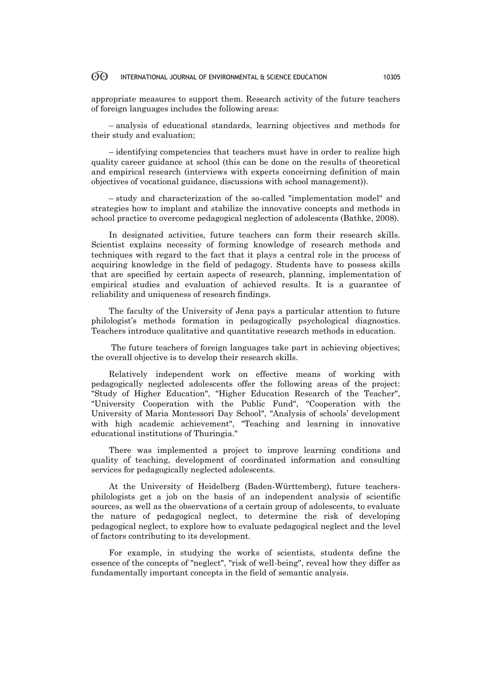#### 60 INTERNATIONAL JOURNAL OF ENVIRONMENTAL & SCIENCE EDUCATION 10305

appropriate measures to support them. Research activity of the future teachers of foreign languages includes the following areas:

– analysis of educational standards, learning objectives and methods for their study and evaluation;

– identifying competencies that teachers must have in order to realize high quality career guidance at school (this can be done on the results of theoretical and empirical research (interviews with experts conceirning definition of main objectives of vocational guidance, discussions with school management)).

– study and characterization of the so-called "implementation model" and strategies how to implant and stabilize the innovative concepts and methods in school practice to overcome pedagogical neglection of adolescents (Bathke, 2008).

In designated activities, future teachers can form their research skills. Scientist explains necessity of forming knowledge of research methods and techniques with regard to the fact that it plays a central role in the process of acquiring knowledge in the field of pedagogy. Students have to possess skills that are specified by certain aspects of research, planning, implementation of empirical studies and evaluation of achieved results. It is a guarantee of reliability and uniqueness of research findings.

The faculty of the University of Jena pays a particular attention to future philologist's methods formation in pedagogically psychological diagnostics. Teachers introduce qualitative and quantitative research methods in education.

The future teachers of foreign languages take part in achieving objectives; the overall objective is to develop their research skills.

Relatively independent work on effective means of working with pedagogically neglected adolescents offer the following areas of the project: "Study of Higher Education", "Higher Education Research of the Teacher", "University Cooperation with the Public Fund", "Cooperation with the University of Maria Montessori Day School", "Analysis of schools' development with high academic achievement", "Teaching and learning in innovative educational institutions of Thuringia."

There was implemented a project to improve learning conditions and quality of teaching, development of coordinated information and consulting services for pedagogically neglected adolescents.

At the University of Heidelberg (Baden-Württemberg), future teachersphilologists get a job on the basis of an independent analysis of scientific sources, as well as the observations of a certain group of adolescents, to evaluate the nature of pedagogical neglect, to determine the risk of developing pedagogical neglect, to explore how to evaluate pedagogical neglect and the level of factors contributing to its development.

For example, in studying the works of scientists, students define the essence of the concepts of "neglect", "risk of well-being", reveal how they differ as fundamentally important concepts in the field of semantic analysis.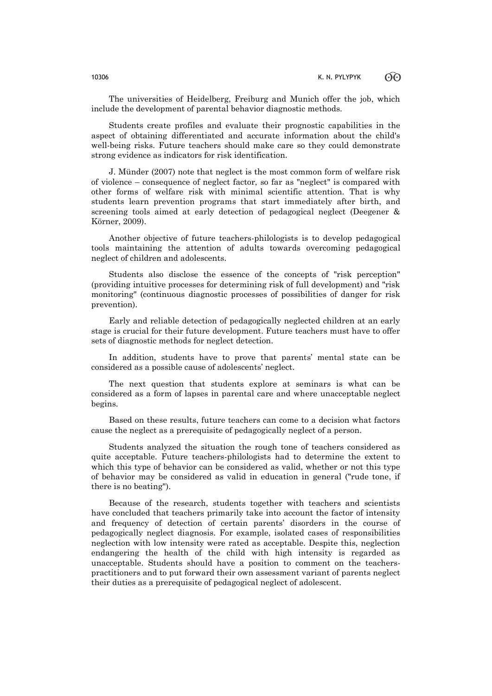The universities of Heidelberg, Freiburg and Munich offer the job, which include the development of parental behavior diagnostic methods.

Students create profiles and evaluate their prognostic capabilities in the aspect of obtaining differentiated and accurate information about the child's well-being risks. Future teachers should make care so they could demonstrate strong evidence as indicators for risk identification.

J. Münder (2007) note that neglect is the most common form of welfare risk of violence – consequence of neglect factor, so far as "neglect" is compared with other forms of welfare risk with minimal scientific attention. That is why students learn prevention programs that start immediately after birth, and screening tools aimed at early detection of pedagogical neglect (Deegener & Körner, 2009).

Another objective of future teachers-philologists is to develop pedagogical tools maintaining the attention of adults towards overcoming pedagogical neglect of children and adolescents.

Students also disclose the essence of the concepts of "risk perception" (providing intuitive processes for determining risk of full development) and "risk monitoring" (continuous diagnostic processes of possibilities of danger for risk prevention).

Early and reliable detection of pedagogically neglected children at an early stage is crucial for their future development. Future teachers must have to offer sets of diagnostic methods for neglect detection.

In addition, students have to prove that parents' mental state can be considered as a possible cause of adolescents' neglect.

The next question that students explore at seminars is what can be considered as a form of lapses in parental care and where unacceptable neglect begins.

Based on these results, future teachers can come to a decision what factors cause the neglect as a prerequisite of pedagogically neglect of a person.

Students analyzed the situation the rough tone of teachers considered as quite acceptable. Future teachers-philologists had to determine the extent to which this type of behavior can be considered as valid, whether or not this type of behavior may be considered as valid in education in general ("rude tone, if there is no beating").

Because of the research, students together with teachers and scientists have concluded that teachers primarily take into account the factor of intensity and frequency of detection of certain parents' disorders in the course of pedagogically neglect diagnosis. For example, isolated cases of responsibilities neglection with low intensity were rated as acceptable. Despite this, neglection endangering the health of the child with high intensity is regarded as unacceptable. Students should have a position to comment on the teacherspractitioners and to put forward their own assessment variant of parents neglect their duties as a prerequisite of pedagogical neglect of adolescent.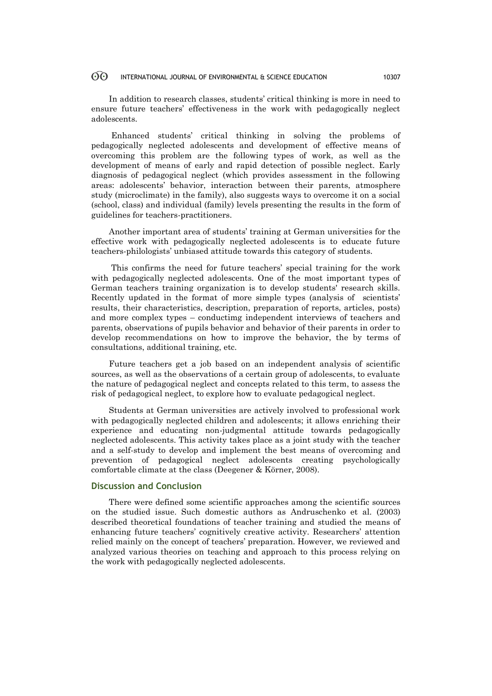#### $\odot$ INTERNATIONAL JOURNAL OF ENVIRONMENTAL & SCIENCE EDUCATION 10307

In addition to research classes, students' critical thinking is more in need to ensure future teachers' effectiveness in the work with pedagogically neglect adolescents.

Enhanced students' critical thinking in solving the problems of pedagogically neglected adolescents and development of effective means of overcoming this problem are the following types of work, as well as the development of means of early and rapid detection of possible neglect. Early diagnosis of pedagogical neglect (which provides assessment in the following areas: adolescents' behavior, interaction between their parents, atmosphere study (microclimate) in the family), also suggests ways to overcome it on a social (school, class) and individual (family) levels presenting the results in the form of guidelines for teachers-practitioners.

Another important area of students' training at German universities for the effective work with pedagogically neglected adolescents is to educate future teachers-philologists' unbiased attitude towards this category of students.

This confirms the need for future teachers' special training for the work with pedagogically neglected adolescents. One of the most important types of German teachers training organization is to develop students' research skills. Recently updated in the format of more simple types (analysis of scientists' results, their characteristics, description, preparation of reports, articles, posts) and more complex types – conductimg independent interviews of teachers and parents, observations of pupils behavior and behavior of their parents in order to develop recommendations on how to improve the behavior, the by terms of consultations, additional training, etc.

Future teachers get a job based on an independent analysis of scientific sources, as well as the observations of a certain group of adolescents, to evaluate the nature of pedagogical neglect and concepts related to this term, to assess the risk of pedagogical neglect, to explore how to evaluate pedagogical neglect.

Students at German universities are actively involved to professional work with pedagogically neglected children and adolescents; it allows enriching their experience and educating non-judgmental attitude towards pedagogically neglected adolescents. This activity takes place as a joint study with the teacher and a self-study to develop and implement the best means of overcoming and prevention of pedagogical neglect adolescents creating psychologically comfortable climate at the class (Deegener & Körner, 2008).

#### **Discussion and Conclusion**

There were defined some scientific approaches among the scientific sources on the studied issue. Such domestic authors as Andruschenko et al. (2003) described theoretical foundations of teacher training and studied the means of enhancing future teachers' cognitively creative activity. Researchers' attention relied mainly on the concept of teachers' preparation. However, we reviewed and analyzed various theories on teaching and approach to this process relying on the work with pedagogically neglected adolescents.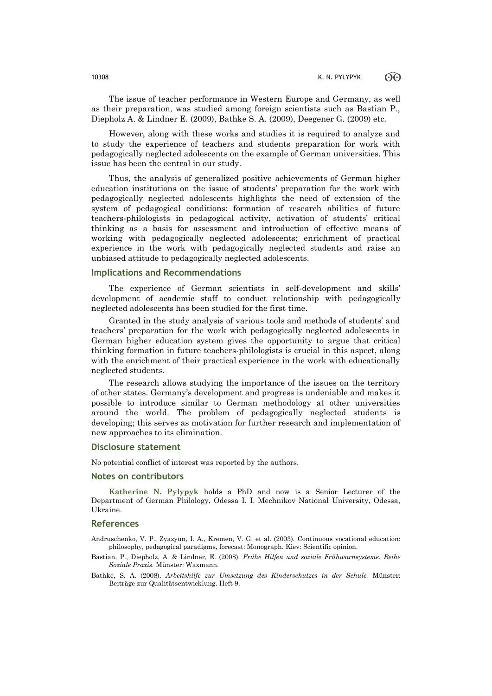The issue of teacher performance in Western Europe and Germany, as well as their preparation, was studied among foreign scientists such as Bastian P., Diepholz A. & Lindner E. (2009), Bathke S. A. (2009), Deegener G. (2009) etc.

However, along with these works and studies it is required to analyze and to study the experience of teachers and students preparation for work with pedagogically neglected adolescents on the example of German universities. This issue has been the central in our study.

Thus, the analysis of generalized positive achievements of German higher education institutions on the issue of students' preparation for the work with pedagogically neglected adolescents highlights the need of extension of the system of pedagogical conditions: formation of research abilities of future teachers-philologists in pedagogical activity, activation of students' critical thinking as a basis for assessment and introduction of effective means of working with pedagogically neglected adolescents; enrichment of practical experience in the work with pedagogically neglected students and raise an unbiased attitude to pedagogically neglected adolescents.

#### **Implications and Recommendations**

The experience of German scientists in self-development and skills' development of academic staff to conduct relationship with pedagogically neglected adolescents has been studied for the first time.

Granted in the study analysis of various tools and methods of students' and teachers' preparation for the work with pedagogically neglected adolescents in German higher education system gives the opportunity to argue that critical thinking formation in future teachers-philologists is crucial in this aspect, along with the enrichment of their practical experience in the work with educationally neglected students.

The research allows studying the importance of the issues on the territory of other states. Germany's development and progress is undeniable and makes it possible to introduce similar to German methodology at other universities around the world. The problem of pedagogically neglected students is developing; this serves as motivation for further research and implementation of new approaches to its elimination.

#### **Disclosure statement**

No potential conflict of interest was reported by the authors.

### **Notes on contributors**

**Katherine N. Pylypyk** holds a PhD and now is a Senior Lecturer of the Department of German Philology, Odessa I. I. Mechnikov National University, Odessa, Ukraine.

#### **References**

Andruschenko, V. P., Zyazyun, I. A., Kremen, V. G. et al. (2003). Continuous vocational education: philosophy, pedagogical paradigms, forecast: Monograph. Kiev: Scientific opinion.

- Bastian, P., Diepholz, A. & Lindner, E. (2008). *Frühe Hilfen und soziale Frühwarnsysteme. Reihe Soziale Praxis.* Münster: Waxmann.
- Bathke, S. A. (2008). *Arbeitshilfe zur Umsetzung des Kinderschutzes in der Schule.* Münster: Beiträge zur Qualitätsentwicklung. Heft 9.